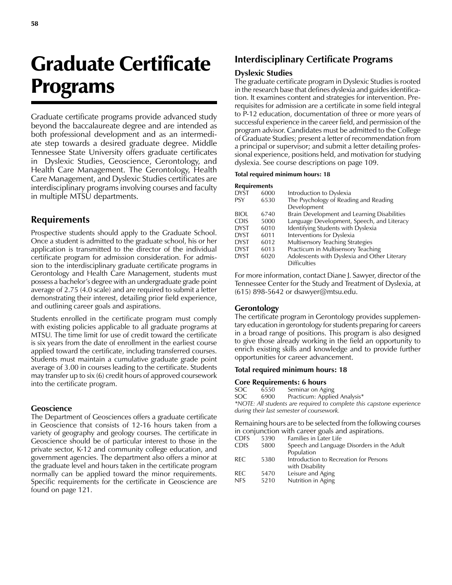# Graduate Certificate Programs

Graduate certificate programs provide advanced study beyond the baccalaureate degree and are intended as both professional development and as an intermediate step towards a desired graduate degree. Middle Tennessee State University offers graduate certificates in Dyslexic Studies, Geoscience, Gerontology, and Health Care Management. The Gerontology, Health Care Management, and Dyslexic Studies certificates are interdisciplinary programs involving courses and faculty in multiple MTSU departments.

# **Requirements**

Prospective students should apply to the Graduate School. Once a student is admitted to the graduate school, his or her application is transmitted to the director of the individual certificate program for admission consideration. For admission to the interdisciplinary graduate certificate programs in Gerontology and Health Care Management, students must possess a bachelor's degree with an undergraduate grade point average of 2.75 (4.0 scale) and are required to submit a letter demonstrating their interest, detailing prior field experience, and outlining career goals and aspirations.

Students enrolled in the certificate program must comply with existing policies applicable to all graduate programs at MTSU. The time limit for use of credit toward the certificate is six years from the date of enrollment in the earliest course applied toward the certificate, including transferred courses. Students must maintain a cumulative graduate grade point average of 3.00 in courses leading to the certificate. Students may transfer up to six (6) credit hours of approved coursework into the certificate program.

## **Geoscience**

The Department of Geosciences offers a graduate certificate in Geoscience that consists of 12-16 hours taken from a variety of geography and geology courses. The certificate in Geoscience should be of particular interest to those in the private sector, K-12 and community college education, and government agencies. The department also offers a minor at the graduate level and hours taken in the certificate program normally can be applied toward the minor requirements. Specific requirements for the certificate in Geoscience are found on page 121.

# **Interdisciplinary Certificate Programs**

### **Dyslexic Studies**

The graduate certificate program in Dyslexic Studies is rooted in the research base that defines dyslexia and guides identification. It examines content and strategies for intervention. Prerequisites for admission are a certificate in some field integral to P-12 education, documentation of three or more years of successful experience in the career field, and permission of the program advisor. Candidates must be admitted to the College of Graduate Studies; present a letter of recommendation from a principal or supervisor; and submit a letter detailing professional experience, positions held, and motivation for studying dyslexia. See course descriptions on page 109.

#### **Total required minimum hours: 18**

| Requirements |      |                                                      |
|--------------|------|------------------------------------------------------|
| dyst         | 6000 | Introduction to Dyslexia                             |
| PSY          | 6530 | The Psychology of Reading and Reading<br>Development |
| BIOL         | 6740 | Brain Development and Learning Disabilities          |
| CDIS         | 5000 | Language Development, Speech, and Literacy           |
| dyst         | 6010 | Identifying Students with Dyslexia                   |
| dyst         | 6011 | Interventions for Dyslexia                           |
| dyst         | 6012 | <b>Multisensory Teaching Strategies</b>              |
| dyst         | 6013 | Practicum in Multisensory Teaching                   |
| dyst         | 6020 | Adolescents with Dyslexia and Other Literary         |
|              |      | <b>Difficulties</b>                                  |

For more information, contact Diane J. Sawyer, director of the Tennessee Center for the Study and Treatment of Dyslexia, at (615) 898-5642 or dsawyer@mtsu.edu.

#### **Gerontology**

The certificate program in Gerontology provides supplementary education in gerontology for students preparing for careers in a broad range of positions. This program is also designed to give those already working in the field an opportunity to enrich existing skills and knowledge and to provide further opportunities for career advancement.

#### **Total required minimum hours: 18**

#### **Core Requirements: 6 hours**

| SOC.                                                                  | 6550 | Seminar on Aging             |  |  |
|-----------------------------------------------------------------------|------|------------------------------|--|--|
| SOC                                                                   | 6900 | Practicum: Applied Analysis* |  |  |
| *NOTE: All students are required to complete this capstone experience |      |                              |  |  |
| during their last semester of coursework.                             |      |                              |  |  |

Remaining hours are to be selected from the following courses in conjunction with career goals and aspirations.

| <b>CDFS</b> | 5390 | Families in Later Life                     |
|-------------|------|--------------------------------------------|
| <b>CDIS</b> | 5800 | Speech and Language Disorders in the Adult |
|             |      | Population                                 |
| REC.        | 5380 | Introduction to Recreation for Persons     |
|             |      | with Disability                            |
| <b>REC</b>  | 5470 | Leisure and Aging                          |
| <b>NFS</b>  | 5210 | Nutrition in Aging                         |
|             |      |                                            |